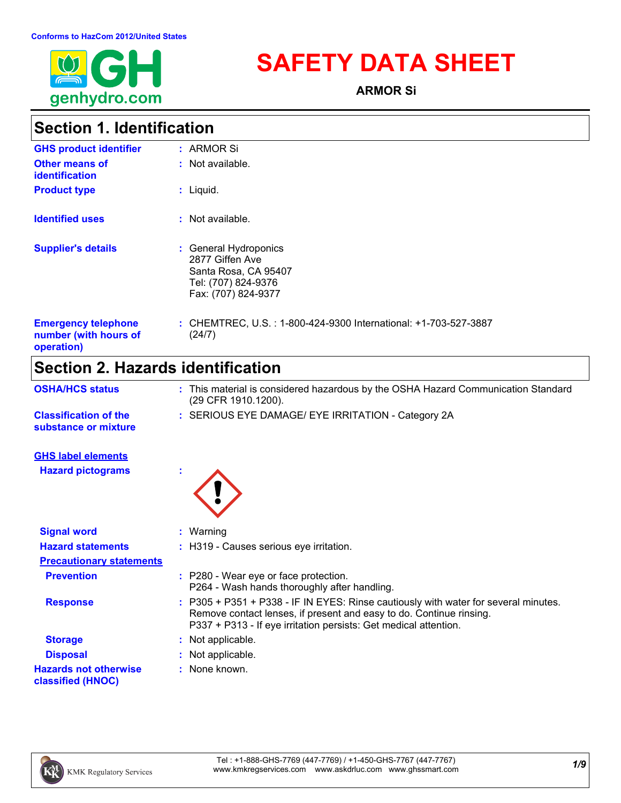

# **SAFETY DATA SHEET**

**ARMOR Si**

# **Section 1. Identification**

| <b>GHS product identifier</b>                                     | : ARMOR Si                                                                                                     |
|-------------------------------------------------------------------|----------------------------------------------------------------------------------------------------------------|
| <b>Other means of</b><br><b>identification</b>                    | : Not available.                                                                                               |
| <b>Product type</b>                                               | $:$ Liquid.                                                                                                    |
| <b>Identified uses</b>                                            | $:$ Not available.                                                                                             |
| <b>Supplier's details</b>                                         | : General Hydroponics<br>2877 Giffen Ave<br>Santa Rosa, CA 95407<br>Tel: (707) 824-9376<br>Fax: (707) 824-9377 |
| <b>Emergency telephone</b><br>number (with hours of<br>operation) | : CHEMTREC, U.S. : 1-800-424-9300 International: +1-703-527-3887<br>(24/7)                                     |

# **Section 2. Hazards identification**

| <b>OSHA/HCS status</b>                               | : This material is considered hazardous by the OSHA Hazard Communication Standard<br>(29 CFR 1910.1200).                                                                                                                       |
|------------------------------------------------------|--------------------------------------------------------------------------------------------------------------------------------------------------------------------------------------------------------------------------------|
| <b>Classification of the</b><br>substance or mixture | : SERIOUS EYE DAMAGE/ EYE IRRITATION - Category 2A                                                                                                                                                                             |
| <b>GHS label elements</b>                            |                                                                                                                                                                                                                                |
| <b>Hazard pictograms</b>                             |                                                                                                                                                                                                                                |
| <b>Signal word</b>                                   | $:$ Warning                                                                                                                                                                                                                    |
| <b>Hazard statements</b>                             | : H319 - Causes serious eye irritation.                                                                                                                                                                                        |
| <b>Precautionary statements</b>                      |                                                                                                                                                                                                                                |
| <b>Prevention</b>                                    | : P280 - Wear eye or face protection.<br>P264 - Wash hands thoroughly after handling.                                                                                                                                          |
| <b>Response</b>                                      | : P305 + P351 + P338 - IF IN EYES: Rinse cautiously with water for several minutes.<br>Remove contact lenses, if present and easy to do. Continue rinsing.<br>P337 + P313 - If eye irritation persists: Get medical attention. |
| <b>Storage</b>                                       | : Not applicable.                                                                                                                                                                                                              |
| <b>Disposal</b>                                      | : Not applicable.                                                                                                                                                                                                              |
| <b>Hazards not otherwise</b><br>classified (HNOC)    | : None known.                                                                                                                                                                                                                  |

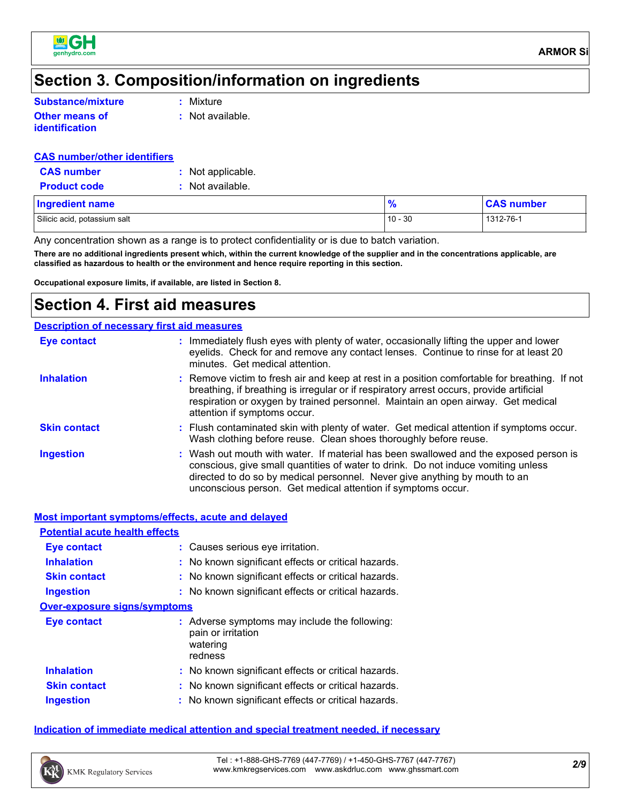

## **Section 3. Composition/information on ingredients**

| Substance/mixture     | $:$ Mixture      |
|-----------------------|------------------|
| <b>Other means of</b> | : Not available. |

**identification**

#### **CAS number/other identifiers**

| <b>CAS number</b> |
|-------------------|
|-------------------|

**:** Not applicable.

**Product code :** Not available.

| <b>Ingredient name</b>       |           | <b>CAS number</b> |
|------------------------------|-----------|-------------------|
| Silicic acid, potassium salt | $10 - 30$ | 1312-76-1         |

Any concentration shown as a range is to protect confidentiality or is due to batch variation.

**There are no additional ingredients present which, within the current knowledge of the supplier and in the concentrations applicable, are classified as hazardous to health or the environment and hence require reporting in this section.**

**Occupational exposure limits, if available, are listed in Section 8.**

### **Section 4. First aid measures**

#### **Description of necessary first aid measures**

| Eye contact         | : Immediately flush eyes with plenty of water, occasionally lifting the upper and lower<br>eyelids. Check for and remove any contact lenses. Continue to rinse for at least 20<br>minutes. Get medical attention.                                                                                                        |
|---------------------|--------------------------------------------------------------------------------------------------------------------------------------------------------------------------------------------------------------------------------------------------------------------------------------------------------------------------|
| <b>Inhalation</b>   | : Remove victim to fresh air and keep at rest in a position comfortable for breathing. If not<br>breathing, if breathing is irregular or if respiratory arrest occurs, provide artificial<br>respiration or oxygen by trained personnel. Maintain an open airway. Get medical<br>attention if symptoms occur.            |
| <b>Skin contact</b> | : Flush contaminated skin with plenty of water. Get medical attention if symptoms occur.<br>Wash clothing before reuse. Clean shoes thoroughly before reuse.                                                                                                                                                             |
| <b>Ingestion</b>    | : Wash out mouth with water. If material has been swallowed and the exposed person is<br>conscious, give small quantities of water to drink. Do not induce vomiting unless<br>directed to do so by medical personnel. Never give anything by mouth to an<br>unconscious person. Get medical attention if symptoms occur. |

|                                       | <b>Most important symptoms/effects, acute and delayed</b>                                  |  |
|---------------------------------------|--------------------------------------------------------------------------------------------|--|
| <b>Potential acute health effects</b> |                                                                                            |  |
| <b>Eye contact</b>                    | : Causes serious eye irritation.                                                           |  |
| <b>Inhalation</b>                     | : No known significant effects or critical hazards.                                        |  |
| <b>Skin contact</b>                   | : No known significant effects or critical hazards.                                        |  |
| <b>Ingestion</b>                      | : No known significant effects or critical hazards.                                        |  |
| <b>Over-exposure signs/symptoms</b>   |                                                                                            |  |
| Eye contact                           | : Adverse symptoms may include the following:<br>pain or irritation<br>watering<br>redness |  |
| <b>Inhalation</b>                     | : No known significant effects or critical hazards.                                        |  |
| <b>Skin contact</b>                   | : No known significant effects or critical hazards.                                        |  |
| <b>Ingestion</b>                      | : No known significant effects or critical hazards.                                        |  |
|                                       |                                                                                            |  |

#### **Indication of immediate medical attention and special treatment needed, if necessary**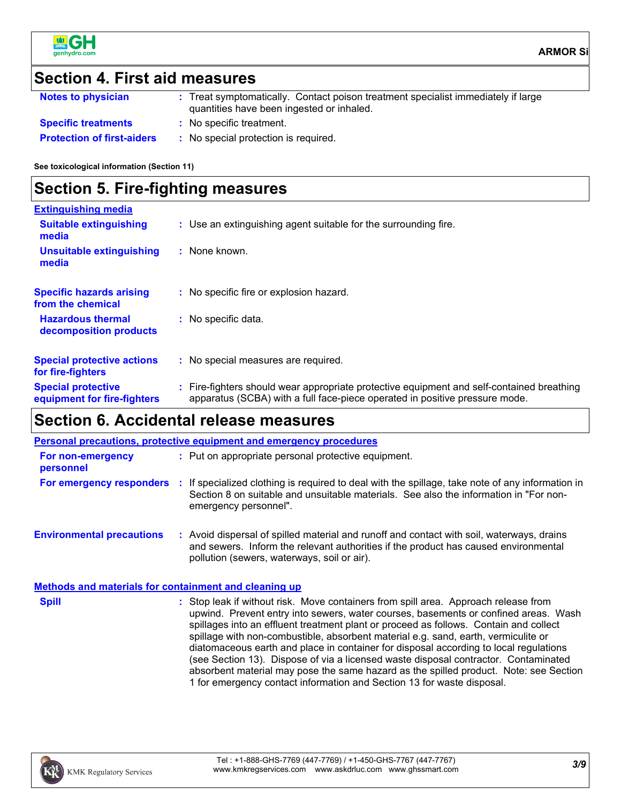

# **Section 4. First aid measures**

| <b>Notes to physician</b>         | : Treat symptomatically. Contact poison treatment specialist immediately if large<br>quantities have been ingested or inhaled. |  |
|-----------------------------------|--------------------------------------------------------------------------------------------------------------------------------|--|
| <b>Specific treatments</b>        | : No specific treatment.                                                                                                       |  |
| <b>Protection of first-aiders</b> | : No special protection is required.                                                                                           |  |

**See toxicological information (Section 11)**

### **Section 5. Fire-fighting measures**

| <b>Extinguishing media</b>                               |                                                                                                                                                                          |
|----------------------------------------------------------|--------------------------------------------------------------------------------------------------------------------------------------------------------------------------|
| <b>Suitable extinguishing</b><br>media                   | : Use an extinguishing agent suitable for the surrounding fire.                                                                                                          |
| <b>Unsuitable extinguishing</b><br>media                 | $:$ None known.                                                                                                                                                          |
| <b>Specific hazards arising</b><br>from the chemical     | : No specific fire or explosion hazard.                                                                                                                                  |
| <b>Hazardous thermal</b><br>decomposition products       | : No specific data.                                                                                                                                                      |
| <b>Special protective actions</b><br>for fire-fighters   | : No special measures are required.                                                                                                                                      |
| <b>Special protective</b><br>equipment for fire-fighters | : Fire-fighters should wear appropriate protective equipment and self-contained breathing<br>apparatus (SCBA) with a full face-piece operated in positive pressure mode. |

# **Section 6. Accidental release measures**

| <b>Personal precautions, protective equipment and emergency procedures</b> |  |                                                                                                                                                                                                                                                                                                                                                                                                                                                                                                                                                                                                                                                                                                              |
|----------------------------------------------------------------------------|--|--------------------------------------------------------------------------------------------------------------------------------------------------------------------------------------------------------------------------------------------------------------------------------------------------------------------------------------------------------------------------------------------------------------------------------------------------------------------------------------------------------------------------------------------------------------------------------------------------------------------------------------------------------------------------------------------------------------|
| For non-emergency<br>personnel                                             |  | : Put on appropriate personal protective equipment.                                                                                                                                                                                                                                                                                                                                                                                                                                                                                                                                                                                                                                                          |
|                                                                            |  | For emergency responders : If specialized clothing is required to deal with the spillage, take note of any information in<br>Section 8 on suitable and unsuitable materials. See also the information in "For non-<br>emergency personnel".                                                                                                                                                                                                                                                                                                                                                                                                                                                                  |
| <b>Environmental precautions</b>                                           |  | : Avoid dispersal of spilled material and runoff and contact with soil, waterways, drains<br>and sewers. Inform the relevant authorities if the product has caused environmental<br>pollution (sewers, waterways, soil or air).                                                                                                                                                                                                                                                                                                                                                                                                                                                                              |
| <b>Methods and materials for containment and cleaning up</b>               |  |                                                                                                                                                                                                                                                                                                                                                                                                                                                                                                                                                                                                                                                                                                              |
| <b>Spill</b>                                                               |  | : Stop leak if without risk. Move containers from spill area. Approach release from<br>upwind. Prevent entry into sewers, water courses, basements or confined areas. Wash<br>spillages into an effluent treatment plant or proceed as follows. Contain and collect<br>spillage with non-combustible, absorbent material e.g. sand, earth, vermiculite or<br>diatomaceous earth and place in container for disposal according to local regulations<br>(see Section 13). Dispose of via a licensed waste disposal contractor. Contaminated<br>absorbent material may pose the same hazard as the spilled product. Note: see Section<br>1 for emergency contact information and Section 13 for waste disposal. |

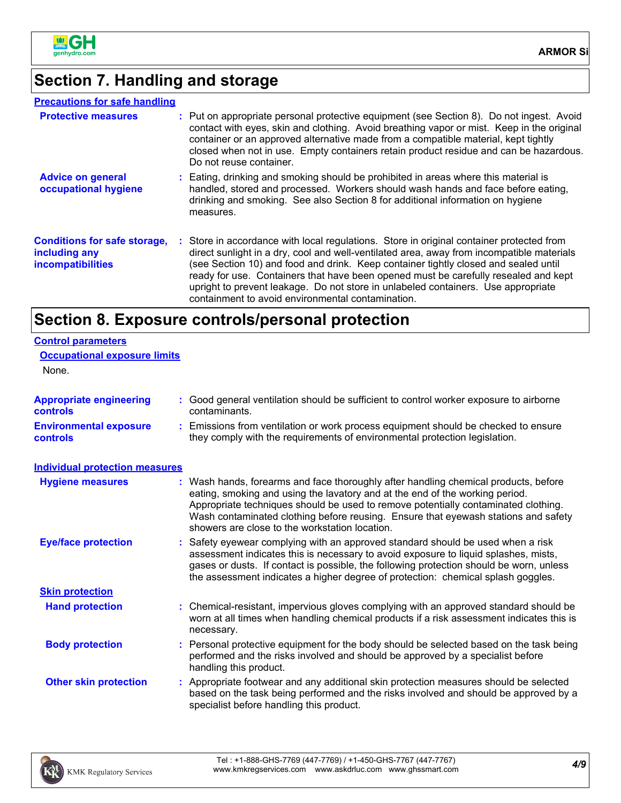

# **Section 7. Handling and storage**

### **Precautions for safe handling**

| <b>Protective measures</b>                                                       | : Put on appropriate personal protective equipment (see Section 8). Do not ingest. Avoid<br>contact with eyes, skin and clothing. Avoid breathing vapor or mist. Keep in the original<br>container or an approved alternative made from a compatible material, kept tightly<br>closed when not in use. Empty containers retain product residue and can be hazardous.<br>Do not reuse container.                                                                                                               |
|----------------------------------------------------------------------------------|---------------------------------------------------------------------------------------------------------------------------------------------------------------------------------------------------------------------------------------------------------------------------------------------------------------------------------------------------------------------------------------------------------------------------------------------------------------------------------------------------------------|
| <b>Advice on general</b><br>occupational hygiene                                 | : Eating, drinking and smoking should be prohibited in areas where this material is<br>handled, stored and processed. Workers should wash hands and face before eating,<br>drinking and smoking. See also Section 8 for additional information on hygiene<br>measures.                                                                                                                                                                                                                                        |
| <b>Conditions for safe storage,</b><br>including any<br><i>incompatibilities</i> | : Store in accordance with local regulations. Store in original container protected from<br>direct sunlight in a dry, cool and well-ventilated area, away from incompatible materials<br>(see Section 10) and food and drink. Keep container tightly closed and sealed until<br>ready for use. Containers that have been opened must be carefully resealed and kept<br>upright to prevent leakage. Do not store in unlabeled containers. Use appropriate<br>containment to avoid environmental contamination. |

## **Section 8. Exposure controls/personal protection**

| <b>Control parameters</b>                  |                                                                                                                                                                                                                                                                                                                                                                                                   |
|--------------------------------------------|---------------------------------------------------------------------------------------------------------------------------------------------------------------------------------------------------------------------------------------------------------------------------------------------------------------------------------------------------------------------------------------------------|
| <b>Occupational exposure limits</b>        |                                                                                                                                                                                                                                                                                                                                                                                                   |
| None.                                      |                                                                                                                                                                                                                                                                                                                                                                                                   |
| <b>Appropriate engineering</b><br>controls | : Good general ventilation should be sufficient to control worker exposure to airborne<br>contaminants.                                                                                                                                                                                                                                                                                           |
| <b>Environmental exposure</b><br>controls  | : Emissions from ventilation or work process equipment should be checked to ensure<br>they comply with the requirements of environmental protection legislation.                                                                                                                                                                                                                                  |
| <b>Individual protection measures</b>      |                                                                                                                                                                                                                                                                                                                                                                                                   |
| <b>Hygiene measures</b>                    | : Wash hands, forearms and face thoroughly after handling chemical products, before<br>eating, smoking and using the lavatory and at the end of the working period.<br>Appropriate techniques should be used to remove potentially contaminated clothing.<br>Wash contaminated clothing before reusing. Ensure that eyewash stations and safety<br>showers are close to the workstation location. |
| <b>Eye/face protection</b>                 | : Safety eyewear complying with an approved standard should be used when a risk<br>assessment indicates this is necessary to avoid exposure to liquid splashes, mists,<br>gases or dusts. If contact is possible, the following protection should be worn, unless<br>the assessment indicates a higher degree of protection: chemical splash goggles.                                             |
| <b>Skin protection</b>                     |                                                                                                                                                                                                                                                                                                                                                                                                   |
| <b>Hand protection</b>                     | : Chemical-resistant, impervious gloves complying with an approved standard should be<br>worn at all times when handling chemical products if a risk assessment indicates this is<br>necessary.                                                                                                                                                                                                   |
| <b>Body protection</b>                     | : Personal protective equipment for the body should be selected based on the task being<br>performed and the risks involved and should be approved by a specialist before<br>handling this product.                                                                                                                                                                                               |
| <b>Other skin protection</b>               | : Appropriate footwear and any additional skin protection measures should be selected<br>based on the task being performed and the risks involved and should be approved by a<br>specialist before handling this product.                                                                                                                                                                         |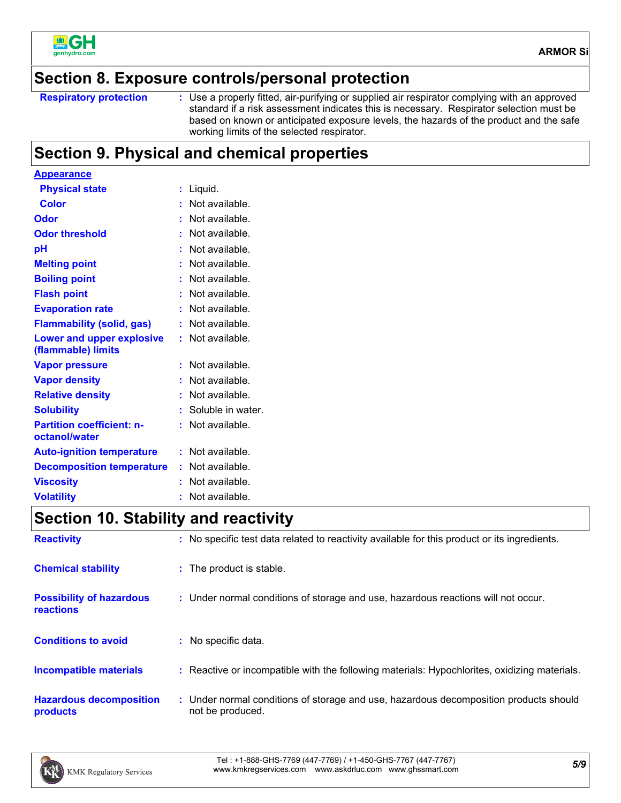

### **Section 8. Exposure controls/personal protection**

```
Respiratory protection :
```
Use a properly fitted, air-purifying or supplied air respirator complying with an approved standard if a risk assessment indicates this is necessary. Respirator selection must be based on known or anticipated exposure levels, the hazards of the product and the safe working limits of the selected respirator.

## **Section 9. Physical and chemical properties**

| <u>Appearance</u>                                      |                      |
|--------------------------------------------------------|----------------------|
| <b>Physical state</b>                                  | Liquid.<br>t         |
| <b>Color</b>                                           | Not available.<br>t  |
| Odor                                                   | Not available.       |
| <b>Odor threshold</b>                                  | Not available.       |
| рH                                                     | Not available.       |
| <b>Melting point</b>                                   | Not available.       |
| <b>Boiling point</b>                                   | Not available.<br>t. |
| <b>Flash point</b>                                     | Not available.       |
| <b>Evaporation rate</b>                                | Not available.       |
| <b>Flammability (solid, gas)</b>                       | Not available.<br>t. |
| <b>Lower and upper explosive</b><br>(flammable) limits | Not available.<br>÷. |
| <b>Vapor pressure</b>                                  | Not available.<br>t  |
| <b>Vapor density</b>                                   | Not available.       |
| <b>Relative density</b>                                | Not available.       |
| <b>Solubility</b>                                      | Soluble in water.    |
| <b>Partition coefficient: n-</b><br>octanol/water      | Not available.<br>t. |
| <b>Auto-ignition temperature</b>                       | Not available.<br>t. |
| <b>Decomposition temperature</b>                       | Not available.       |
| <b>Viscosity</b>                                       | Not available.       |
| <b>Volatility</b>                                      | Not available.<br>ř. |

### **Section 10. Stability and reactivity**

| <b>Reactivity</b>                            | : No specific test data related to reactivity available for this product or its ingredients.              |
|----------------------------------------------|-----------------------------------------------------------------------------------------------------------|
| <b>Chemical stability</b>                    | : The product is stable.                                                                                  |
| <b>Possibility of hazardous</b><br>reactions | : Under normal conditions of storage and use, hazardous reactions will not occur.                         |
| <b>Conditions to avoid</b>                   | : No specific data.                                                                                       |
| <b>Incompatible materials</b>                | : Reactive or incompatible with the following materials: Hypochlorites, oxidizing materials.              |
| <b>Hazardous decomposition</b><br>products   | : Under normal conditions of storage and use, hazardous decomposition products should<br>not be produced. |

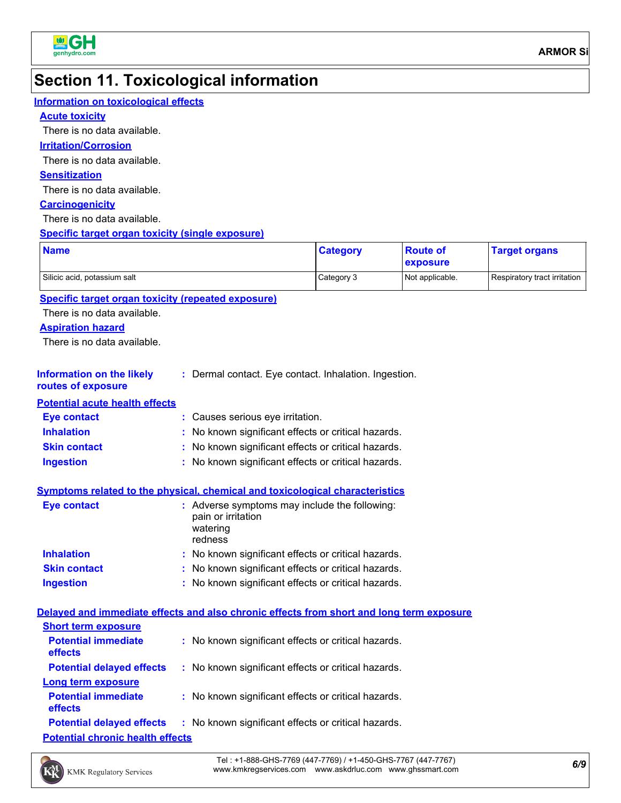

# **Section 11. Toxicological information**

| <b>Information on toxicological effects</b>               |                                                                                            |                 |                             |                              |
|-----------------------------------------------------------|--------------------------------------------------------------------------------------------|-----------------|-----------------------------|------------------------------|
| <b>Acute toxicity</b>                                     |                                                                                            |                 |                             |                              |
| There is no data available.                               |                                                                                            |                 |                             |                              |
| <b>Irritation/Corrosion</b>                               |                                                                                            |                 |                             |                              |
| There is no data available.                               |                                                                                            |                 |                             |                              |
| <b>Sensitization</b>                                      |                                                                                            |                 |                             |                              |
| There is no data available.                               |                                                                                            |                 |                             |                              |
| <b>Carcinogenicity</b>                                    |                                                                                            |                 |                             |                              |
| There is no data available.                               |                                                                                            |                 |                             |                              |
| <b>Specific target organ toxicity (single exposure)</b>   |                                                                                            |                 |                             |                              |
| <b>Name</b>                                               |                                                                                            | <b>Category</b> | <b>Route of</b><br>exposure | <b>Target organs</b>         |
| Silicic acid, potassium salt                              |                                                                                            | Category 3      | Not applicable.             | Respiratory tract irritation |
| <b>Specific target organ toxicity (repeated exposure)</b> |                                                                                            |                 |                             |                              |
| There is no data available.                               |                                                                                            |                 |                             |                              |
| <b>Aspiration hazard</b>                                  |                                                                                            |                 |                             |                              |
| There is no data available.                               |                                                                                            |                 |                             |                              |
|                                                           |                                                                                            |                 |                             |                              |
| <b>Information on the likely</b><br>routes of exposure    | : Dermal contact. Eye contact. Inhalation. Ingestion.                                      |                 |                             |                              |
| <b>Potential acute health effects</b>                     |                                                                                            |                 |                             |                              |
| <b>Eye contact</b>                                        | : Causes serious eye irritation.                                                           |                 |                             |                              |
| <b>Inhalation</b>                                         | No known significant effects or critical hazards.                                          |                 |                             |                              |
| <b>Skin contact</b>                                       | No known significant effects or critical hazards.                                          |                 |                             |                              |
| <b>Ingestion</b>                                          | : No known significant effects or critical hazards.                                        |                 |                             |                              |
|                                                           |                                                                                            |                 |                             |                              |
|                                                           | <b>Symptoms related to the physical, chemical and toxicological characteristics</b>        |                 |                             |                              |
| <b>Eye contact</b>                                        | : Adverse symptoms may include the following:<br>pain or irritation<br>watering<br>redness |                 |                             |                              |
| <b>Inhalation</b>                                         | No known significant effects or critical hazards.                                          |                 |                             |                              |
| <b>Skin contact</b>                                       | No known significant effects or critical hazards.                                          |                 |                             |                              |
| <b>Ingestion</b>                                          | : No known significant effects or critical hazards.                                        |                 |                             |                              |
|                                                           |                                                                                            |                 |                             |                              |
|                                                           | Delayed and immediate effects and also chronic effects from short and long term exposure   |                 |                             |                              |
| <b>Short term exposure</b>                                |                                                                                            |                 |                             |                              |
| <b>Potential immediate</b><br>effects                     | : No known significant effects or critical hazards.                                        |                 |                             |                              |
| <b>Potential delayed effects</b>                          | : No known significant effects or critical hazards.                                        |                 |                             |                              |
| <b>Long term exposure</b>                                 |                                                                                            |                 |                             |                              |
| <b>Potential immediate</b><br>effects                     | : No known significant effects or critical hazards.                                        |                 |                             |                              |
| <b>Potential delayed effects</b>                          | : No known significant effects or critical hazards.                                        |                 |                             |                              |
| <b>Potential chronic health effects</b>                   |                                                                                            |                 |                             |                              |

*6/9* Tel : +1-888-GHS-7769 (447-7769) / +1-450-GHS-7767 (447-7767) www.kmkregservices.com www.askdrluc.com www.ghssmart.com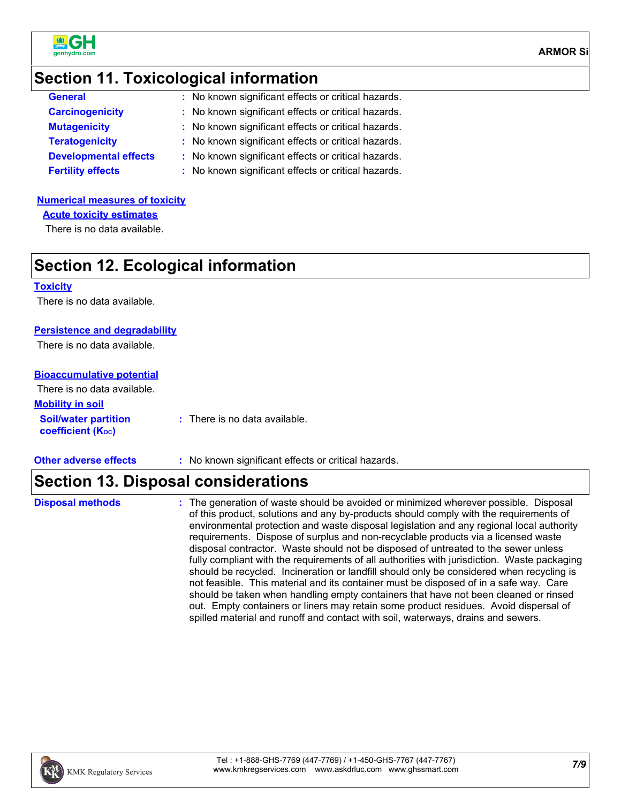

### **Section 11. Toxicological information**

| <b>General</b>               | : No known significant effects or critical hazards. |
|------------------------------|-----------------------------------------------------|
| <b>Carcinogenicity</b>       | : No known significant effects or critical hazards. |
| <b>Mutagenicity</b>          | : No known significant effects or critical hazards. |
| <b>Teratogenicity</b>        | : No known significant effects or critical hazards. |
| <b>Developmental effects</b> | : No known significant effects or critical hazards. |
| <b>Fertility effects</b>     | : No known significant effects or critical hazards. |
|                              |                                                     |

### **Numerical measures of toxicity**

**Acute toxicity estimates**

There is no data available.

### **Section 12. Ecological information**

#### **Toxicity**

There is no data available.

#### **Persistence and degradability**

There is no data available.

#### **Bioaccumulative potential**

| There is no data available.                             |                               |
|---------------------------------------------------------|-------------------------------|
| <b>Mobility in soil</b>                                 |                               |
| <b>Soil/water partition</b><br><b>coefficient (Koc)</b> | : There is no data available. |

- 
- **Other adverse effects** : No known significant effects or critical hazards.

### **Section 13. Disposal considerations**

**Disposal methods :**

The generation of waste should be avoided or minimized wherever possible. Disposal of this product, solutions and any by-products should comply with the requirements of environmental protection and waste disposal legislation and any regional local authority requirements. Dispose of surplus and non-recyclable products via a licensed waste disposal contractor. Waste should not be disposed of untreated to the sewer unless fully compliant with the requirements of all authorities with jurisdiction. Waste packaging should be recycled. Incineration or landfill should only be considered when recycling is not feasible. This material and its container must be disposed of in a safe way. Care should be taken when handling empty containers that have not been cleaned or rinsed out. Empty containers or liners may retain some product residues. Avoid dispersal of spilled material and runoff and contact with soil, waterways, drains and sewers.

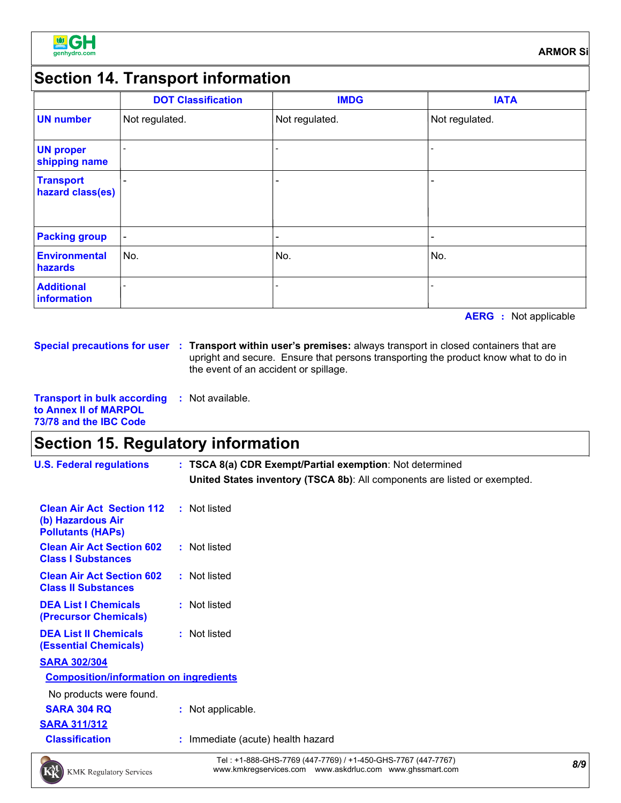

### **Section 14. Transport information**

|                                      | <b>DOT Classification</b> | <b>IMDG</b>              | <b>IATA</b>              |
|--------------------------------------|---------------------------|--------------------------|--------------------------|
| <b>UN number</b>                     | Not regulated.            | Not regulated.           | Not regulated.           |
| <b>UN proper</b><br>shipping name    |                           |                          |                          |
| <b>Transport</b><br>hazard class(es) |                           | $\overline{\phantom{0}}$ |                          |
| <b>Packing group</b>                 | $\overline{\phantom{a}}$  | $\overline{\phantom{0}}$ | $\overline{\phantom{0}}$ |
| <b>Environmental</b><br>hazards      | No.                       | No.                      | No.                      |
| <b>Additional</b><br>information     |                           |                          |                          |

**AERG :** Not applicable

**Special precautions for user Transport within user's premises:** always transport in closed containers that are **:** upright and secure. Ensure that persons transporting the product know what to do in the event of an accident or spillage.

**Transport in bulk according to Annex II of MARPOL 73/78 and the IBC Code :** Not available.

### **Section 15. Regulatory information**

**U.S. Federal regulations : TSCA 8(a) CDR Exempt/Partial exemption**: Not determined **United States inventory (TSCA 8b)**: All components are listed or exempted.

| <b>Clean Air Act Section 112 : Not listed</b><br>(b) Hazardous Air<br><b>Pollutants (HAPs)</b> |                 |
|------------------------------------------------------------------------------------------------|-----------------|
| <b>Clean Air Act Section 602</b><br><b>Class I Substances</b>                                  | : Not listed    |
| <b>Clean Air Act Section 602</b><br><b>Class II Substances</b>                                 | : Not listed    |
| <b>DEA List I Chemicals</b><br>(Precursor Chemicals)                                           | : Not listed    |
| <b>DEA List II Chemicals</b><br><b>(Essential Chemicals)</b>                                   | : Not listed    |
| <b>SARA 302/304</b>                                                                            |                 |
| <b>Composition/information on ingredients</b>                                                  |                 |
| No products were found.<br>SARA 304 RQ                                                         | Not applicable. |

- **SARA 311/312**
- 
- **Classification :** Immediate (acute) health hazard



*8/9* Tel : +1-888-GHS-7769 (447-7769) / +1-450-GHS-7767 (447-7767) www.kmkregservices.com www.askdrluc.com www.ghssmart.com